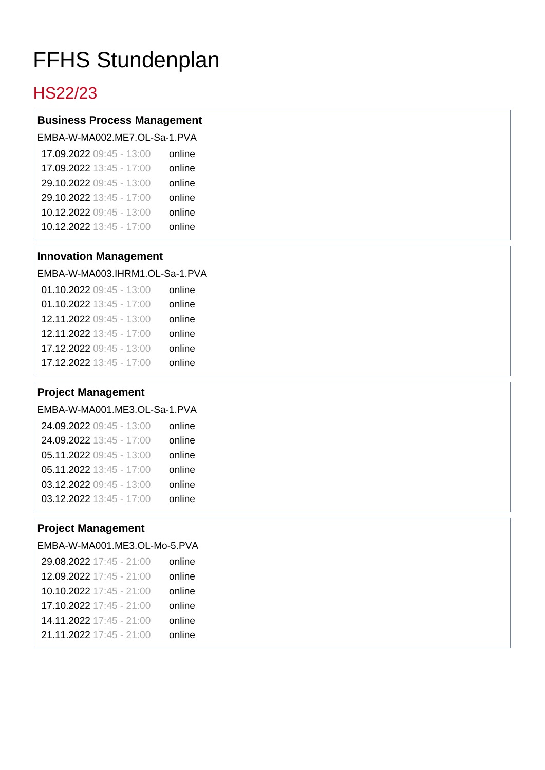# FFHS Stundenplan

# HS22/23

## **Business Process Management**

|        | EMBA-W-MA002.ME7.OL-Sa-1.PVA |
|--------|------------------------------|
| online | 17.09.2022 09:45 - 13:00     |
| online | 17.09.2022 13:45 - 17:00     |
| online | 29.10.2022 09:45 - 13:00     |
| online | 29.10.2022 13:45 - 17:00     |
| online | 10.12.2022 09:45 - 13:00     |
| online | 10.12.2022 13:45 - 17:00     |
|        |                              |

#### **Innovation Management**

#### EMBA-W-MA003.IHRM1.OL-Sa-1.PVA

| 01.10.2022 09:45 - 13:00 | online |
|--------------------------|--------|
| 01.10.2022 13:45 - 17:00 | online |
| 12.11.2022 09:45 - 13:00 | online |
| 12.11.2022 13:45 - 17:00 | online |
| 17.12.2022 09:45 - 13:00 | online |
| 17.12.2022 13:45 - 17:00 | online |

#### **Project Management**

|        | EMBA-W-MA001.ME3.OL-Sa-1.PVA |
|--------|------------------------------|
| online | 24.09.2022 09:45 - 13:00     |
| online | 24.09.2022 13:45 - 17:00     |
| online | 05.11.2022 09:45 - 13:00     |
| online | 05.11.2022 13:45 - 17:00     |
| online | 03.12.2022 09:45 - 13:00     |
| online | 03.12.2022 13:45 - 17:00     |

## **Project Management**

#### EMBA-W-MA001.ME3.OL-Mo-5.PVA

| online |
|--------|
| online |
| online |
| online |
| online |
| online |
|        |